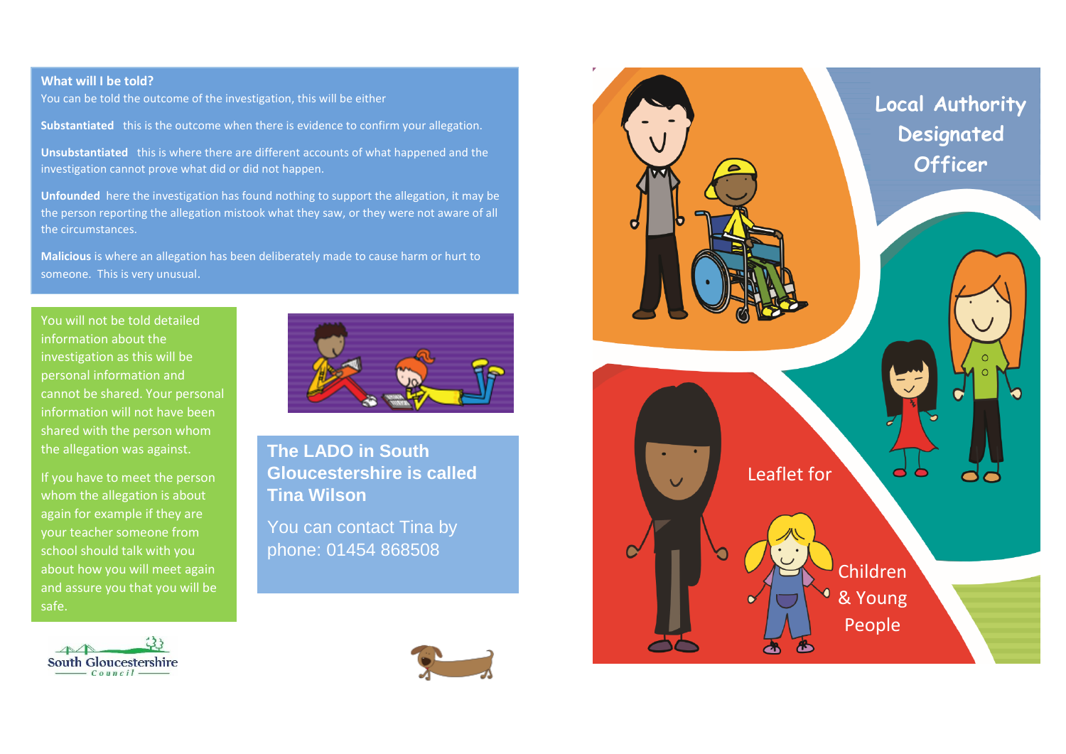## **What will I be told?**

You can be told the outcome of the investigation, this will be either

**Substantiated** this is the outcome when there is evidence to confirm your allegation.

**Unsubstantiated** this is where there are different accounts of what happened and the investigation cannot prove what did or did not happen.

**Unfounded** here the investigation has found nothing to support the allegation, it may be the person reporting the allegation mistook what they saw, or they were not aware of all the circumstances.

**Malicious** is where an allegation has been deliberately made to cause harm or hurt to someone. This is very unusual.

You will not be told detailed information about the investigation as this will be personal information and cannot be shared. Your personal information will not have been shared with the person whom the allegation was against.

If you have to meet the person whom the allegation is about again for example if they are your teacher someone from school should talk with you about how you will meet again and assure you that you will be safe.





**The LADO in South Gloucestershire is called Tina Wilson**

You can contact Tina by phone: 01454 868508